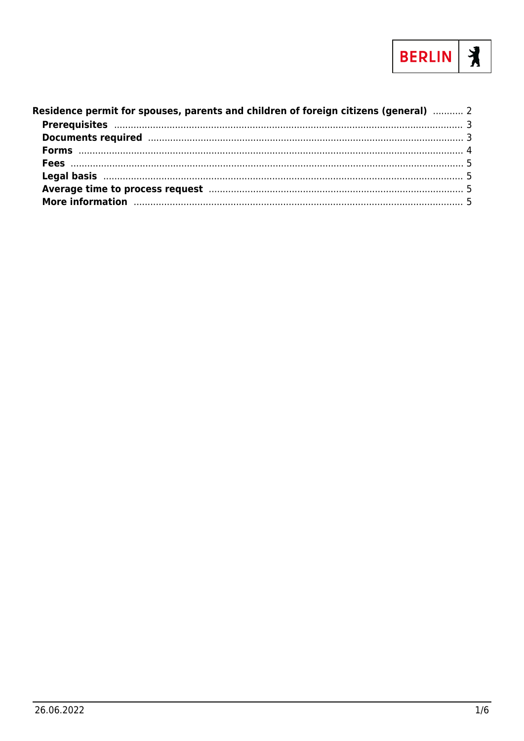

| Residence permit for spouses, parents and children of foreign citizens (general)  2                                                                                                                                            |  |
|--------------------------------------------------------------------------------------------------------------------------------------------------------------------------------------------------------------------------------|--|
|                                                                                                                                                                                                                                |  |
|                                                                                                                                                                                                                                |  |
|                                                                                                                                                                                                                                |  |
|                                                                                                                                                                                                                                |  |
|                                                                                                                                                                                                                                |  |
|                                                                                                                                                                                                                                |  |
| More information manufactured and the contract of the contract of the contract of the contract of the contract of the contract of the contract of the contract of the contract of the contract of the contract of the contract |  |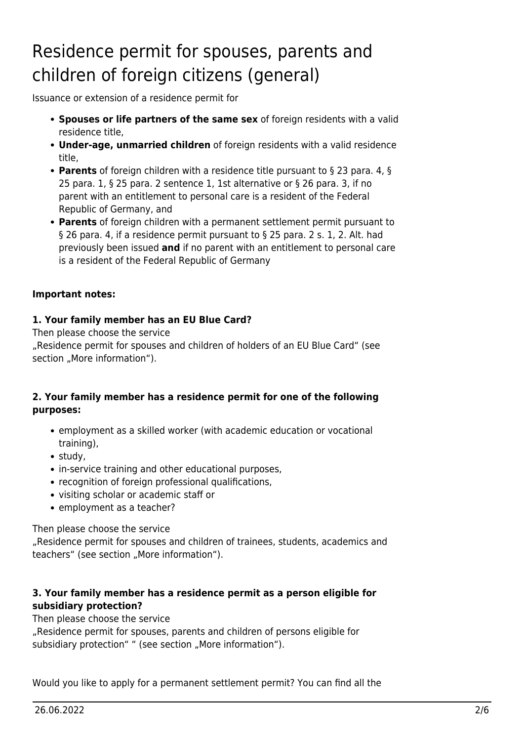# <span id="page-1-0"></span>Residence permit for spouses, parents and children of foreign citizens (general)

Issuance or extension of a residence permit for

- **Spouses or life partners of the same sex** of foreign residents with a valid residence title,
- **Under-age, unmarried children** of foreign residents with a valid residence title,
- **Parents** of foreign children with a residence title pursuant to § 23 para. 4, § 25 para. 1, § 25 para. 2 sentence 1, 1st alternative or § 26 para. 3, if no parent with an entitlement to personal care is a resident of the Federal Republic of Germany, and
- **Parents** of foreign children with a permanent settlement permit pursuant to § 26 para. 4, if a residence permit pursuant to § 25 para. 2 s. 1, 2. Alt. had previously been issued **and** if no parent with an entitlement to personal care is a resident of the Federal Republic of Germany

#### **Important notes:**

### **1. Your family member has an EU Blue Card?**

Then please choose the service "Residence permit for spouses and children of holders of an EU Blue Card" (see section "More information").

#### **2. Your family member has a residence permit for one of the following purposes:**

- employment as a skilled worker (with academic education or vocational training),
- study,
- in-service training and other educational purposes,
- recognition of foreign professional qualifications,
- visiting scholar or academic staff or
- employment as a teacher?

Then please choose the service

"Residence permit for spouses and children of trainees, students, academics and teachers" (see section "More information").

### **3. Your family member has a residence permit as a person eligible for subsidiary protection?**

Then please choose the service

"Residence permit for spouses, parents and children of persons eligible for subsidiary protection" " (see section "More information").

Would you like to apply for a permanent settlement permit? You can find all the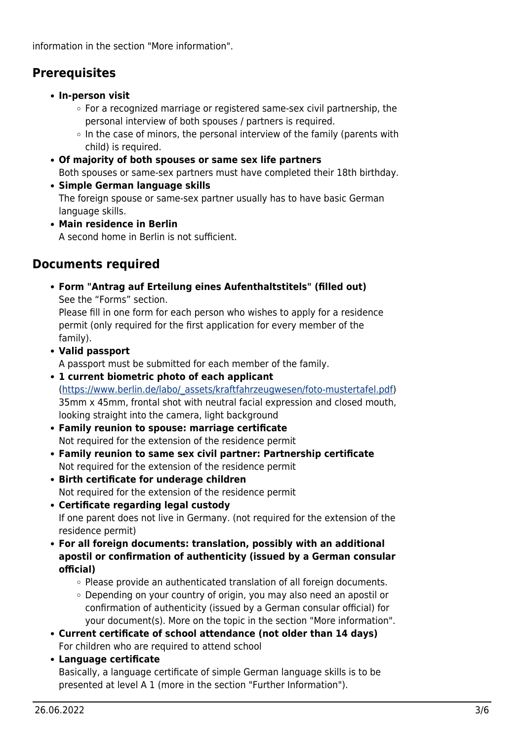information in the section "More information".

# <span id="page-2-0"></span>**Prerequisites**

- **In-person visit**
	- $\circ$  For a recognized marriage or registered same-sex civil partnership, the personal interview of both spouses / partners is required.
	- $\circ$  In the case of minors, the personal interview of the family (parents with child) is required.
- **Of majority of both spouses or same sex life partners** Both spouses or same-sex partners must have completed their 18th birthday.
- **Simple German language skills** The foreign spouse or same-sex partner usually has to have basic German language skills.
- **Main residence in Berlin** A second home in Berlin is not sufficient.

# <span id="page-2-1"></span>**Documents required**

**Form "Antrag auf Erteilung eines Aufenthaltstitels" (filled out)** See the "Forms" section.

Please fill in one form for each person who wishes to apply for a residence permit (only required for the first application for every member of the family).

**Valid passport**

A passport must be submitted for each member of the family.

- **1 current biometric photo of each applicant** ([https://www.berlin.de/labo/\\_assets/kraftfahrzeugwesen/foto-mustertafel.pdf\)](https://www.berlin.de/labo/_assets/kraftfahrzeugwesen/foto-mustertafel.pdf) 35mm x 45mm, frontal shot with neutral facial expression and closed mouth, looking straight into the camera, light background
- **Family reunion to spouse: marriage certificate** Not required for the extension of the residence permit
- **Family reunion to same sex civil partner: Partnership certificate** Not required for the extension of the residence permit
- **Birth certificate for underage children** Not required for the extension of the residence permit
- **Certificate regarding legal custody** If one parent does not live in Germany. (not required for the extension of the residence permit)
- **For all foreign documents: translation, possibly with an additional apostil or confirmation of authenticity (issued by a German consular official)**
	- $\circ$  Please provide an authenticated translation of all foreign documents.
	- Depending on your country of origin, you may also need an apostil or confirmation of authenticity (issued by a German consular official) for your document(s). More on the topic in the section "More information".
- **Current certificate of school attendance (not older than 14 days)** For children who are required to attend school
- **Language certificate**

Basically, a language certificate of simple German language skills is to be presented at level A 1 (more in the section "Further Information").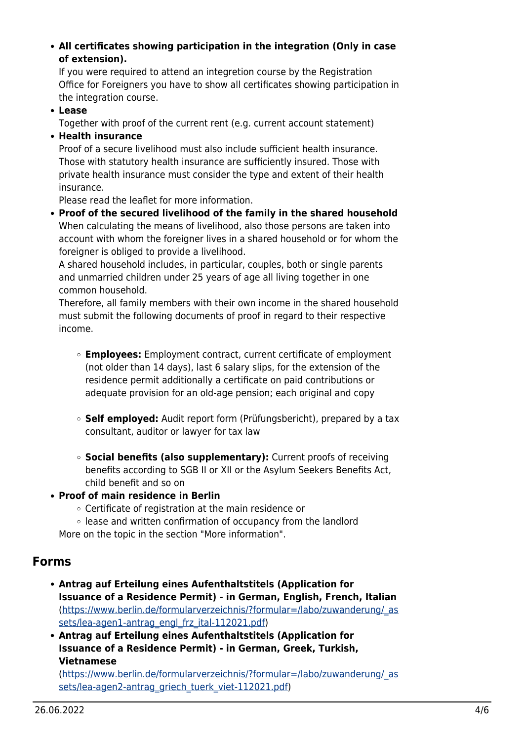**All certificates showing participation in the integration (Only in case of extension).**

If you were required to attend an integretion course by the Registration Office for Foreigners you have to show all certificates showing participation in the integration course.

**Lease**

Together with proof of the current rent (e.g. current account statement)

**Health insurance**

Proof of a secure livelihood must also include sufficient health insurance. Those with statutory health insurance are sufficiently insured. Those with private health insurance must consider the type and extent of their health insurance.

Please read the leaflet for more information.

**Proof of the secured livelihood of the family in the shared household** When calculating the means of livelihood, also those persons are taken into account with whom the foreigner lives in a shared household or for whom the foreigner is obliged to provide a livelihood.

A shared household includes, in particular, couples, both or single parents and unmarried children under 25 years of age all living together in one common household.

Therefore, all family members with their own income in the shared household must submit the following documents of proof in regard to their respective income.

- **Employees:** Employment contract, current certificate of employment (not older than 14 days), last 6 salary slips, for the extension of the residence permit additionally a certificate on paid contributions or adequate provision for an old-age pension; each original and copy
- **Self employed:** Audit report form (Prüfungsbericht), prepared by a tax consultant, auditor or lawyer for tax law
- **Social benefits (also supplementary):** Current proofs of receiving benefits according to SGB II or XII or the Asylum Seekers Benefits Act, child benefit and so on
- **Proof of main residence in Berlin**
	- Certificate of registration at the main residence or
	- lease and written confirmation of occupancy from the landlord More on the topic in the section "More information".

# <span id="page-3-0"></span>**Forms**

- **Antrag auf Erteilung eines Aufenthaltstitels (Application for Issuance of a Residence Permit) - in German, English, French, Italian** ([https://www.berlin.de/formularverzeichnis/?formular=/labo/zuwanderung/\\_as](https://www.berlin.de/formularverzeichnis/?formular=/labo/zuwanderung/_assets/lea-agen1-antrag_engl_frz_ital-112021.pdf) [sets/lea-agen1-antrag\\_engl\\_frz\\_ital-112021.pdf](https://www.berlin.de/formularverzeichnis/?formular=/labo/zuwanderung/_assets/lea-agen1-antrag_engl_frz_ital-112021.pdf))
- **Antrag auf Erteilung eines Aufenthaltstitels (Application for Issuance of a Residence Permit) - in German, Greek, Turkish, Vietnamese**

([https://www.berlin.de/formularverzeichnis/?formular=/labo/zuwanderung/\\_as](https://www.berlin.de/formularverzeichnis/?formular=/labo/zuwanderung/_assets/lea-agen2-antrag_griech_tuerk_viet-112021.pdf) [sets/lea-agen2-antrag\\_griech\\_tuerk\\_viet-112021.pdf](https://www.berlin.de/formularverzeichnis/?formular=/labo/zuwanderung/_assets/lea-agen2-antrag_griech_tuerk_viet-112021.pdf))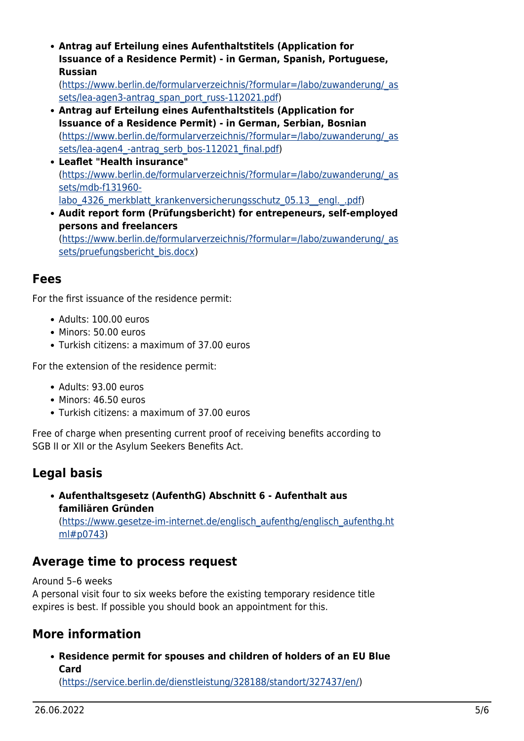**Antrag auf Erteilung eines Aufenthaltstitels (Application for Issuance of a Residence Permit) - in German, Spanish, Portuguese, Russian**

([https://www.berlin.de/formularverzeichnis/?formular=/labo/zuwanderung/\\_as](https://www.berlin.de/formularverzeichnis/?formular=/labo/zuwanderung/_assets/lea-agen3-antrag_span_port_russ-112021.pdf) [sets/lea-agen3-antrag\\_span\\_port\\_russ-112021.pdf](https://www.berlin.de/formularverzeichnis/?formular=/labo/zuwanderung/_assets/lea-agen3-antrag_span_port_russ-112021.pdf))

- **Antrag auf Erteilung eines Aufenthaltstitels (Application for Issuance of a Residence Permit) - in German, Serbian, Bosnian** ([https://www.berlin.de/formularverzeichnis/?formular=/labo/zuwanderung/\\_as](https://www.berlin.de/formularverzeichnis/?formular=/labo/zuwanderung/_assets/lea-agen4_-antrag_serb_bos-112021_final.pdf) sets/lea-agen4 -antrag\_serb\_bos-112021\_final.pdf)
- **Leaflet "Health insurance"** ([https://www.berlin.de/formularverzeichnis/?formular=/labo/zuwanderung/\\_as](https://www.berlin.de/formularverzeichnis/?formular=/labo/zuwanderung/_assets/mdb-f131960-labo_4326_merkblatt_krankenversicherungsschutz_05.13__engl._.pdf) [sets/mdb-f131960](https://www.berlin.de/formularverzeichnis/?formular=/labo/zuwanderung/_assets/mdb-f131960-labo_4326_merkblatt_krankenversicherungsschutz_05.13__engl._.pdf) labo 4326 merkblatt krankenversicherungsschutz 05.13\_engl. .pdf)
- **Audit report form (Prüfungsbericht) for entrepeneurs, self-employed persons and freelancers** ([https://www.berlin.de/formularverzeichnis/?formular=/labo/zuwanderung/\\_as](https://www.berlin.de/formularverzeichnis/?formular=/labo/zuwanderung/_assets/pruefungsbericht_bis.docx) [sets/pruefungsbericht\\_bis.docx](https://www.berlin.de/formularverzeichnis/?formular=/labo/zuwanderung/_assets/pruefungsbericht_bis.docx))

# <span id="page-4-0"></span>**Fees**

For the first issuance of the residence permit:

- Adults: 100.00 euros
- Minors: 50.00 euros
- Turkish citizens: a maximum of 37.00 euros

For the extension of the residence permit:

- Adults: 93.00 euros
- Minors: 46.50 euros
- Turkish citizens: a maximum of 37.00 euros

Free of charge when presenting current proof of receiving benefits according to SGB II or XII or the Asylum Seekers Benefits Act.

# <span id="page-4-1"></span>**Legal basis**

**Aufenthaltsgesetz (AufenthG) Abschnitt 6 - Aufenthalt aus familiären Gründen** ([https://www.gesetze-im-internet.de/englisch\\_aufenthg/englisch\\_aufenthg.ht](https://www.gesetze-im-internet.de/englisch_aufenthg/englisch_aufenthg.html#p0743) [ml#p0743\)](https://www.gesetze-im-internet.de/englisch_aufenthg/englisch_aufenthg.html#p0743)

# <span id="page-4-2"></span>**Average time to process request**

Around 5–6 weeks

A personal visit four to six weeks before the existing temporary residence title expires is best. If possible you should book an appointment for this.

# <span id="page-4-3"></span>**More information**

**Residence permit for spouses and children of holders of an EU Blue Card**

([https://service.berlin.de/dienstleistung/328188/standort/327437/en/\)](https://service.berlin.de/dienstleistung/328188/standort/327437/en/)